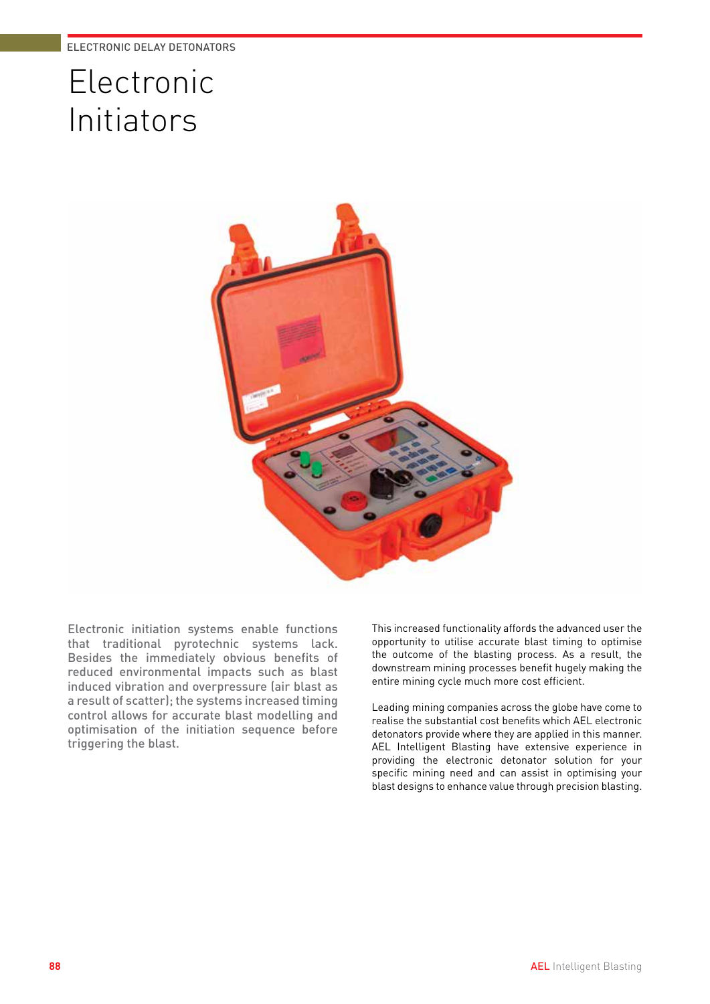# Electronic Initiators



Electronic initiation systems enable functions that traditional pyrotechnic systems lack. Besides the immediately obvious benefits of reduced environmental impacts such as blast induced vibration and overpressure (air blast as a result of scatter); the systems increased timing control allows for accurate blast modelling and optimisation of the initiation sequence before triggering the blast.

This increased functionality affords the advanced user the opportunity to utilise accurate blast timing to optimise the outcome of the blasting process. As a result, the downstream mining processes benefit hugely making the entire mining cycle much more cost efficient.

Leading mining companies across the globe have come to realise the substantial cost benefits which AEL electronic detonators provide where they are applied in this manner. AEL Intelligent Blasting have extensive experience in providing the electronic detonator solution for your specific mining need and can assist in optimising your blast designs to enhance value through precision blasting.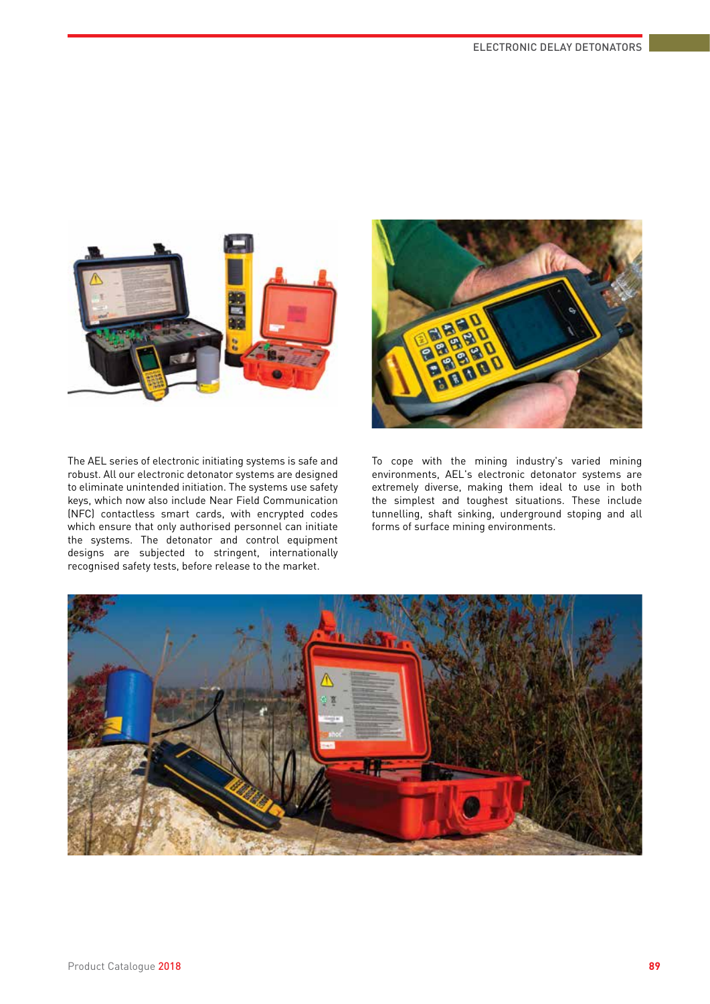

The AEL series of electronic initiating systems is safe and robust. All our electronic detonator systems are designed to eliminate unintended initiation. The systems use safety keys, which now also include Near Field Communication (NFC) contactless smart cards, with encrypted codes which ensure that only authorised personnel can initiate the systems. The detonator and control equipment designs are subjected to stringent, internationally recognised safety tests, before release to the market.



To cope with the mining industry's varied mining environments, AEL's electronic detonator systems are extremely diverse, making them ideal to use in both the simplest and toughest situations. These include tunnelling, shaft sinking, underground stoping and all forms of surface mining environments.

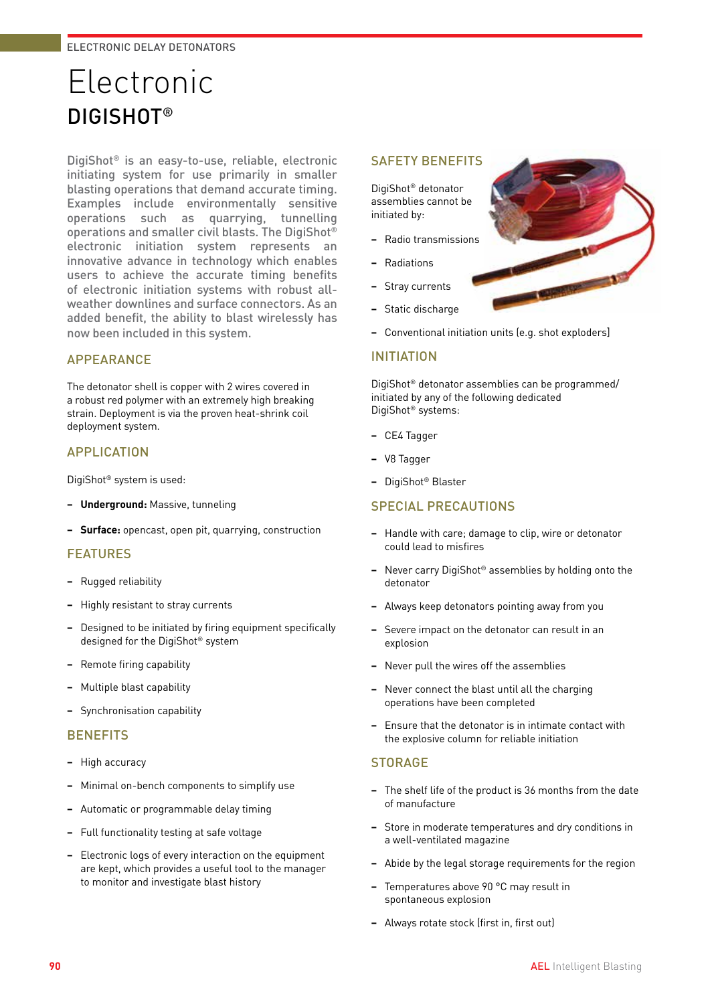## Electronic DIGISHOT®

DigiShot® is an easy-to-use, reliable, electronic initiating system for use primarily in smaller blasting operations that demand accurate timing. Examples include environmentally sensitive operations such as quarrying, tunnelling operations and smaller civil blasts. The DigiShot® electronic initiation system represents an innovative advance in technology which enables users to achieve the accurate timing benefits of electronic initiation systems with robust allweather downlines and surface connectors. As an added benefit, the ability to blast wirelessly has now been included in this system.

## **APPEARANCE**

The detonator shell is copper with 2 wires covered in a robust red polymer with an extremely high breaking strain. Deployment is via the proven heat-shrink coil deployment system.

## **APPI ICATION**

DigiShot® system is used:

- **− Underground:** Massive, tunneling
- **− Surface:** opencast, open pit, quarrying, construction

#### **FEATURES**

- **−** Rugged reliability
- **−** Highly resistant to stray currents
- **−** Designed to be initiated by firing equipment specifically designed for the DigiShot® system
- **−** Remote firing capability
- **−** Multiple blast capability
- **−** Synchronisation capability

#### **BENEFITS**

- **−** High accuracy
- **−** Minimal on-bench components to simplify use
- **−** Automatic or programmable delay timing
- **−** Full functionality testing at safe voltage
- **−** Electronic logs of every interaction on the equipment are kept, which provides a useful tool to the manager to monitor and investigate blast history

#### SAFETY BENEFITS

DigiShot® detonator assemblies cannot be initiated by:

- **−** Radio transmissions
- **−** Radiations
- **−** Stray currents
- **−** Static discharge
- **−** Conventional initiation units (e.g. shot exploders]

#### INITIATION

DigiShot® detonator assemblies can be programmed/ initiated by any of the following dedicated DigiShot® systems:

- **−** CE4 Tagger
- **−** V8 Tagger
- **−** DigiShot® Blaster

## SPECIAL PRECAUTIONS

- **−** Handle with care; damage to clip, wire or detonator could lead to misfires
- **−** Never carry DigiShot® assemblies by holding onto the detonator
- **−** Always keep detonators pointing away from you
- **−** Severe impact on the detonator can result in an explosion
- **−** Never pull the wires off the assemblies
- **−** Never connect the blast until all the charging operations have been completed
- **−** Ensure that the detonator is in intimate contact with the explosive column for reliable initiation

#### **STORAGE**

- **−** The shelf life of the product is 36 months from the date of manufacture
- **−** Store in moderate temperatures and dry conditions in a well-ventilated magazine
- **−** Abide by the legal storage requirements for the region
- **−** Temperatures above 90 °C may result in spontaneous explosion
- **−** Always rotate stock (first in, first out)

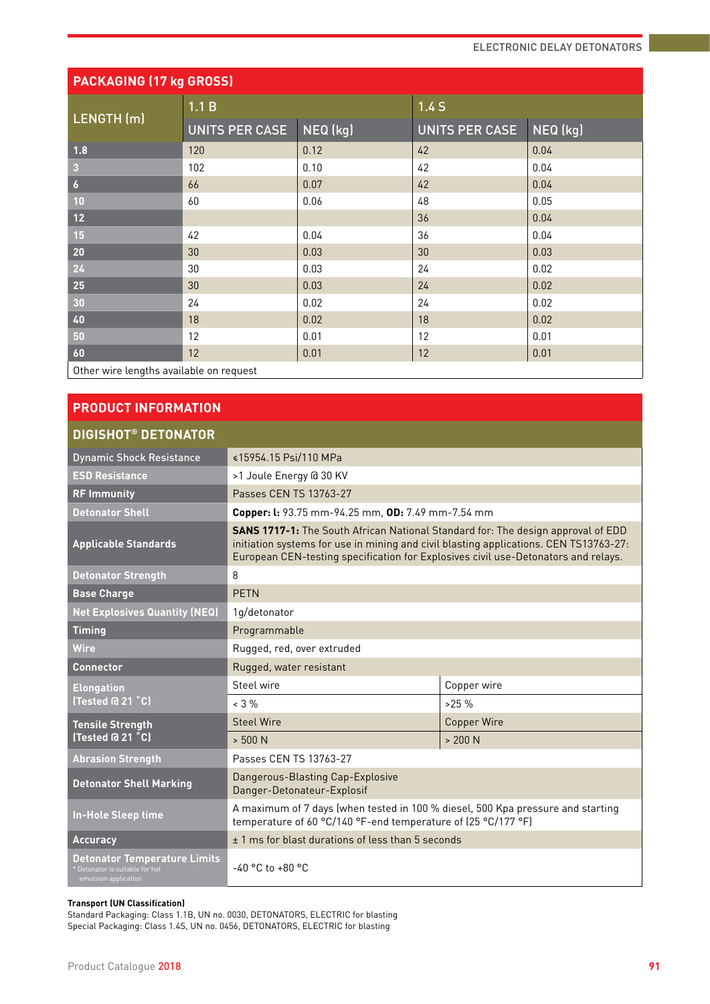| <b>PACKAGING (17 kg GROSS)</b>                                        |                       |          |                       |          |
|-----------------------------------------------------------------------|-----------------------|----------|-----------------------|----------|
| LENGTH (m)                                                            | 1.1 B                 |          | 1.4S                  |          |
|                                                                       | <b>UNITS PER CASE</b> | NEQ (kg) | <b>UNITS PER CASE</b> | NEQ (kg) |
| 1.8                                                                   | 120                   | 0.12     | 42                    | 0.04     |
| $\overline{\mathbf{3}}$                                               | 102                   | 0.10     | 42                    | 0.04     |
| $\overline{6}$                                                        | 66                    | 0.07     | 42                    | 0.04     |
| 10                                                                    | 60                    | 0.06     | 48                    | 0.05     |
| $12$                                                                  |                       |          | 36                    | 0.04     |
| 15                                                                    | 42                    | 0.04     | 36                    | 0.04     |
| 20                                                                    | 30                    | 0.03     | 30                    | 0.03     |
| 24                                                                    | 30                    | 0.03     | 24                    | 0.02     |
| 25                                                                    | 30                    | 0.03     | 24                    | 0.02     |
| 30                                                                    | 24                    | 0.02     | 24                    | 0.02     |
| ${\bf 40}$                                                            | 18                    | 0.02     | 18                    | 0.02     |
| 50                                                                    | 12                    | 0.01     | 12                    | 0.01     |
| 60                                                                    | 12                    | 0.01     | 12                    | 0.01     |
| $\sim$ $\sim$<br>the contract of the contract of the contract of<br>. |                       |          |                       |          |

Other wire lengths available on request

## **PRODUCT INFORMATION**

## **DIGISHOT® DETONATOR**

| <b>Dynamic Shock Resistance</b>                                                       | ≤15954.15 Psi/110 MPa                                                                                                                                                                                                                                                  |                    |  |
|---------------------------------------------------------------------------------------|------------------------------------------------------------------------------------------------------------------------------------------------------------------------------------------------------------------------------------------------------------------------|--------------------|--|
| <b>ESD Resistance</b>                                                                 | >1 Joule Energy @ 30 KV                                                                                                                                                                                                                                                |                    |  |
| <b>RF Immunity</b>                                                                    | Passes CEN TS 13763-27                                                                                                                                                                                                                                                 |                    |  |
| <b>Detonator Shell</b>                                                                | Copper: 1: 93.75 mm-94.25 mm, OD: 7.49 mm-7.54 mm                                                                                                                                                                                                                      |                    |  |
| <b>Applicable Standards</b>                                                           | <b>SANS 1717-1:</b> The South African National Standard for: The design approval of EDD<br>initiation systems for use in mining and civil blasting applications. CEN TS13763-27:<br>European CEN-testing specification for Explosives civil use-Detonators and relays. |                    |  |
| <b>Detonator Strength</b>                                                             | 8                                                                                                                                                                                                                                                                      |                    |  |
| <b>Base Charge</b>                                                                    | <b>PETN</b>                                                                                                                                                                                                                                                            |                    |  |
| <b>Net Explosives Quantity (NEQ)</b>                                                  | 1q/detonator                                                                                                                                                                                                                                                           |                    |  |
| <b>Timing</b>                                                                         | Programmable                                                                                                                                                                                                                                                           |                    |  |
| <b>Wire</b>                                                                           | Rugged, red, over extruded                                                                                                                                                                                                                                             |                    |  |
| <b>Connector</b>                                                                      | Rugged, water resistant                                                                                                                                                                                                                                                |                    |  |
| <b>Elongation</b>                                                                     | Steel wire                                                                                                                                                                                                                                                             | Copper wire        |  |
| (Tested @ 21 °C)                                                                      | $< 3 \%$                                                                                                                                                                                                                                                               | >25%               |  |
| <b>Tensile Strength</b>                                                               | <b>Steel Wire</b>                                                                                                                                                                                                                                                      | <b>Copper Wire</b> |  |
| (Tested $@21°C$ )                                                                     | > 500 N                                                                                                                                                                                                                                                                | $>200$ N           |  |
| <b>Abrasion Strength</b>                                                              | Passes CEN TS 13763-27                                                                                                                                                                                                                                                 |                    |  |
| <b>Detonator Shell Marking</b>                                                        | Dangerous-Blasting Cap-Explosive<br>Danger-Detonateur-Explosif                                                                                                                                                                                                         |                    |  |
| <b>In-Hole Sleep time</b>                                                             | A maximum of 7 days (when tested in 100 % diesel, 500 Kpa pressure and starting<br>temperature of 60 °C/140 °F-end temperature of (25 °C/177 °F)                                                                                                                       |                    |  |
| <b>Accuracy</b>                                                                       | ± 1 ms for blast durations of less than 5 seconds                                                                                                                                                                                                                      |                    |  |
| Detonator Temperature Limits<br>Detonator is suitable for hot<br>emulsion application | $-40$ °C to +80 °C                                                                                                                                                                                                                                                     |                    |  |

#### **Transport (UN Classification)**

Standard Packaging: Class 1.1B, UN no. 0030, DETONATORS, ELECTRIC for blasting Special Packaging: Class 1.4S, UN no. 0456, DETONATORS, ELECTRIC for blasting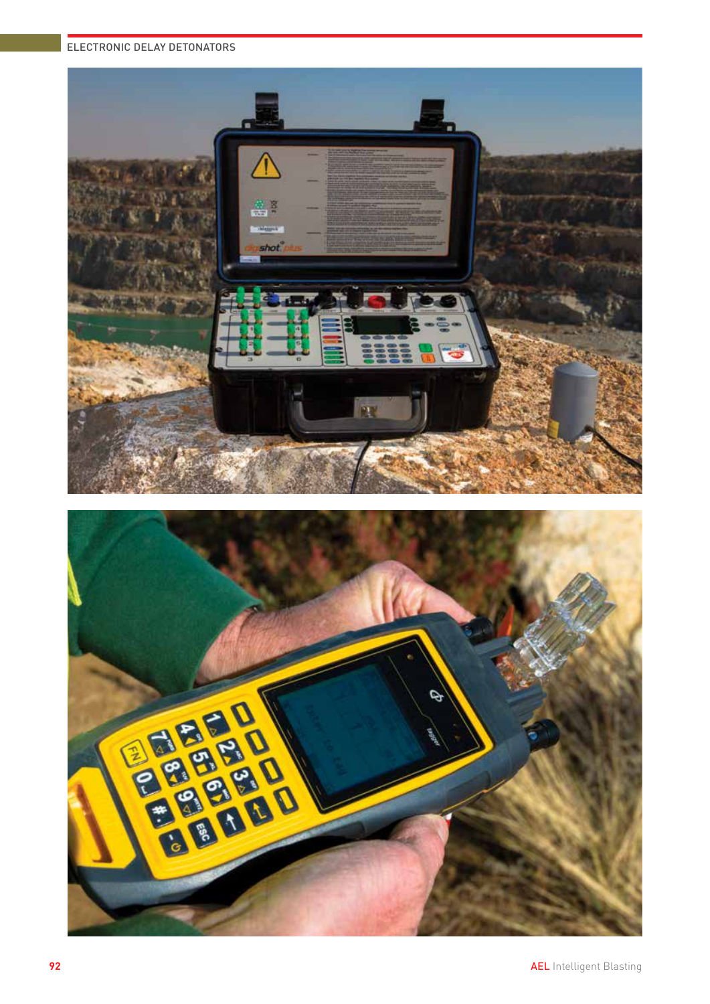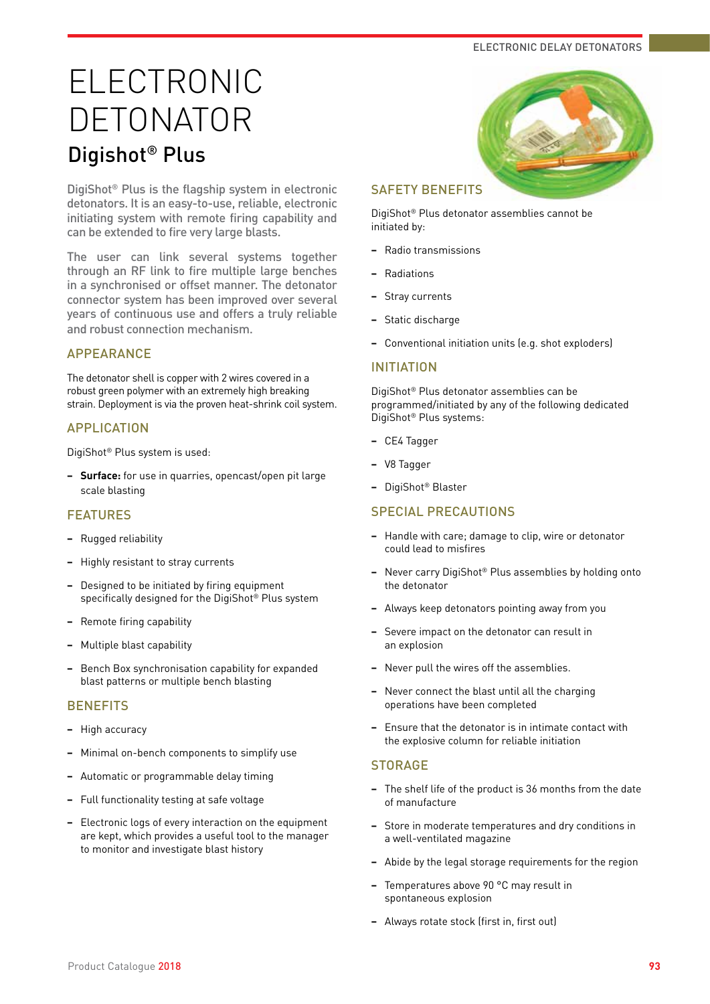## ELECTRONIC DETONATOR Digishot® Plus

DigiShot® Plus is the flagship system in electronic detonators. It is an easy-to-use, reliable, electronic initiating system with remote firing capability and can be extended to fire very large blasts.

The user can link several systems together through an RF link to fire multiple large benches in a synchronised or offset manner. The detonator connector system has been improved over several years of continuous use and offers a truly reliable and robust connection mechanism.

## APPEARANCE

The detonator shell is copper with 2 wires covered in a robust green polymer with an extremely high breaking strain. Deployment is via the proven heat-shrink coil system.

## APPLICATION

DigiShot® Plus system is used:

**− Surface:** for use in quarries, opencast/open pit large scale blasting

#### FEATURES

- **−** Rugged reliability
- **−** Highly resistant to stray currents
- **−** Designed to be initiated by firing equipment specifically designed for the DigiShot® Plus system
- **−** Remote firing capability
- **−** Multiple blast capability
- **−** Bench Box synchronisation capability for expanded blast patterns or multiple bench blasting

#### **BENEFITS**

- **−** High accuracy
- **−** Minimal on-bench components to simplify use
- **−** Automatic or programmable delay timing
- **−** Full functionality testing at safe voltage
- **−** Electronic logs of every interaction on the equipment are kept, which provides a useful tool to the manager to monitor and investigate blast history



## SAFETY BENEFITS

DigiShot® Plus detonator assemblies cannot be initiated by:

- **−** Radio transmissions
- **−** Radiations
- **−** Stray currents
- **−** Static discharge
- **−** Conventional initiation units (e.g. shot exploders)

#### INITIATION

DigiShot® Plus detonator assemblies can be programmed/initiated by any of the following dedicated DigiShot® Plus systems:

- **−** CE4 Tagger
- **−** V8 Tagger
- **−** DigiShot® Blaster

#### SPECIAL PRECAUTIONS

- **−** Handle with care; damage to clip, wire or detonator could lead to misfires
- **−** Never carry DigiShot® Plus assemblies by holding onto the detonator
- **−** Always keep detonators pointing away from you
- **−** Severe impact on the detonator can result in an explosion
- **−** Never pull the wires off the assemblies.
- **−** Never connect the blast until all the charging operations have been completed
- **−** Ensure that the detonator is in intimate contact with the explosive column for reliable initiation

#### **STORAGE**

- **−** The shelf life of the product is 36 months from the date of manufacture
- **−** Store in moderate temperatures and dry conditions in a well-ventilated magazine
- **−** Abide by the legal storage requirements for the region
- **−** Temperatures above 90 °C may result in spontaneous explosion
- **−** Always rotate stock (first in, first out)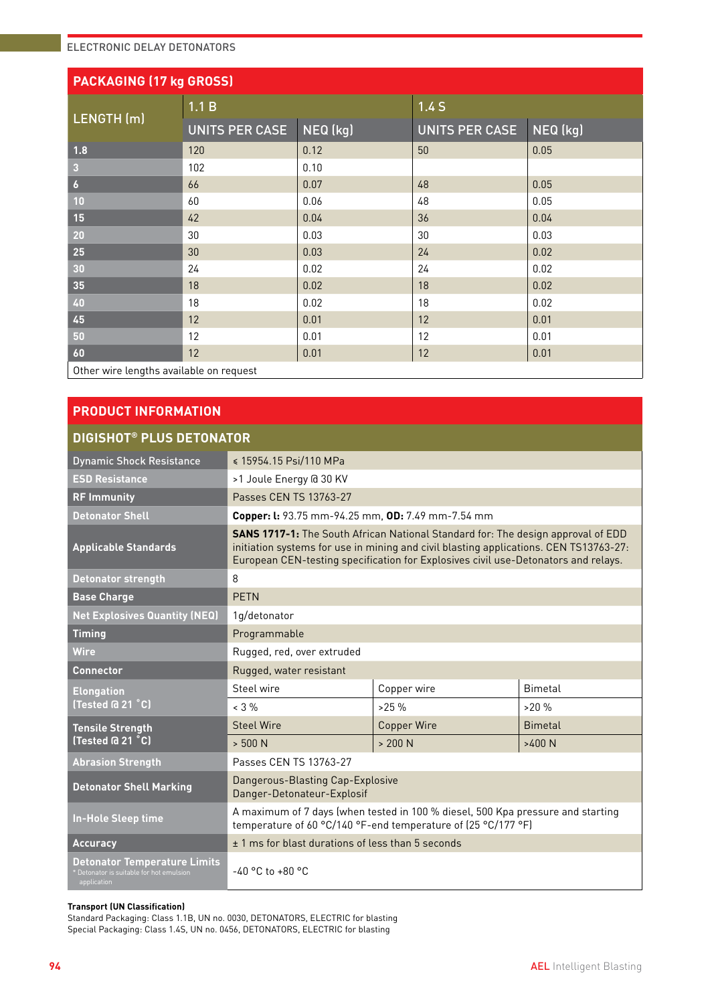| <b>PACKAGING (17 kg GROSS)</b>          |                       |          |                       |          |
|-----------------------------------------|-----------------------|----------|-----------------------|----------|
|                                         | 1.1 B                 |          | 1.4S                  |          |
| LENGTH (m)                              | <b>UNITS PER CASE</b> | NEQ (kg) | <b>UNITS PER CASE</b> | NEQ (kg) |
| 1.8                                     | 120                   | 0.12     | 50                    | 0.05     |
| $\overline{\mathbf{3}}$                 | 102                   | 0.10     |                       |          |
| $\boldsymbol{6}$                        | 66                    | 0.07     | 48                    | 0.05     |
| 10                                      | 60                    | 0.06     | 48                    | 0.05     |
| 15                                      | 42                    | 0.04     | 36                    | 0.04     |
| 20                                      | 30                    | 0.03     | 30                    | 0.03     |
| 25                                      | 30                    | 0.03     | 24                    | 0.02     |
| 30                                      | 24                    | 0.02     | 24                    | 0.02     |
| 35                                      | 18                    | 0.02     | 18                    | 0.02     |
| 40                                      | 18                    | 0.02     | 18                    | 0.02     |
| 45                                      | 12                    | 0.01     | 12                    | 0.01     |
| 50                                      | 12                    | 0.01     | 12                    | 0.01     |
| 60                                      | 12                    | 0.01     | 12                    | 0.01     |
| Other wire lengths available on request |                       |          |                       |          |

**PRODUCT INFORMATION**

## **DIGISHOT® PLUS DETONATOR**

| <b>Dynamic Shock Resistance</b>                                                              | ≤ 15954.15 Psi/110 MPa                                                                                                                                                                                                                                                 |                    |                |
|----------------------------------------------------------------------------------------------|------------------------------------------------------------------------------------------------------------------------------------------------------------------------------------------------------------------------------------------------------------------------|--------------------|----------------|
| <b>ESD Resistance</b>                                                                        | >1 Joule Energy @ 30 KV                                                                                                                                                                                                                                                |                    |                |
| <b>RF Immunity</b>                                                                           | Passes CEN TS 13763-27                                                                                                                                                                                                                                                 |                    |                |
| <b>Detonator Shell</b>                                                                       | <b>Copper: l:</b> 93.75 mm-94.25 mm, <b>0D:</b> 7.49 mm-7.54 mm                                                                                                                                                                                                        |                    |                |
| <b>Applicable Standards</b>                                                                  | <b>SANS 1717-1:</b> The South African National Standard for: The design approval of EDD<br>initiation systems for use in mining and civil blasting applications. CEN TS13763-27:<br>European CEN-testing specification for Explosives civil use-Detonators and relays. |                    |                |
| <b>Detonator strength</b>                                                                    | 8                                                                                                                                                                                                                                                                      |                    |                |
| <b>Base Charge</b>                                                                           | <b>PETN</b>                                                                                                                                                                                                                                                            |                    |                |
| <b>Net Explosives Quantity (NEQ)</b>                                                         | 1q/detonator                                                                                                                                                                                                                                                           |                    |                |
| <b>Timing</b>                                                                                | Programmable                                                                                                                                                                                                                                                           |                    |                |
| <b>Wire</b>                                                                                  | Rugged, red, over extruded                                                                                                                                                                                                                                             |                    |                |
| <b>Connector</b>                                                                             | Rugged, water resistant                                                                                                                                                                                                                                                |                    |                |
| <b>Elongation</b>                                                                            | Steel wire                                                                                                                                                                                                                                                             | Copper wire        | <b>Bimetal</b> |
| (Tested @ 21 °C)                                                                             | < 3 %                                                                                                                                                                                                                                                                  | $>25\%$            | >20%           |
| <b>Tensile Strength</b>                                                                      | <b>Steel Wire</b>                                                                                                                                                                                                                                                      | <b>Copper Wire</b> | <b>Bimetal</b> |
| (Tested @ 21 °C)                                                                             | > 500 N                                                                                                                                                                                                                                                                | >200N              | >400 N         |
| <b>Abrasion Strength</b>                                                                     | Passes CEN TS 13763-27                                                                                                                                                                                                                                                 |                    |                |
| <b>Detonator Shell Marking</b>                                                               | Dangerous-Blasting Cap-Explosive<br>Danger-Detonateur-Explosif                                                                                                                                                                                                         |                    |                |
| <b>In-Hole Sleep time</b>                                                                    | A maximum of 7 days (when tested in 100 % diesel, 500 Kpa pressure and starting<br>temperature of 60 °C/140 °F-end temperature of (25 °C/177 °F)                                                                                                                       |                    |                |
| <b>Accuracy</b>                                                                              | ± 1 ms for blast durations of less than 5 seconds                                                                                                                                                                                                                      |                    |                |
| <b>Detonator Temperature Limits</b><br>Detonator is suitable for hot emulsion<br>application | $-40$ °C to $+80$ °C                                                                                                                                                                                                                                                   |                    |                |

#### **Transport (UN Classification)**

Standard Packaging: Class 1.1B, UN no. 0030, DETONATORS, ELECTRIC for blasting Special Packaging: Class 1.4S, UN no. 0456, DETONATORS, ELECTRIC for blasting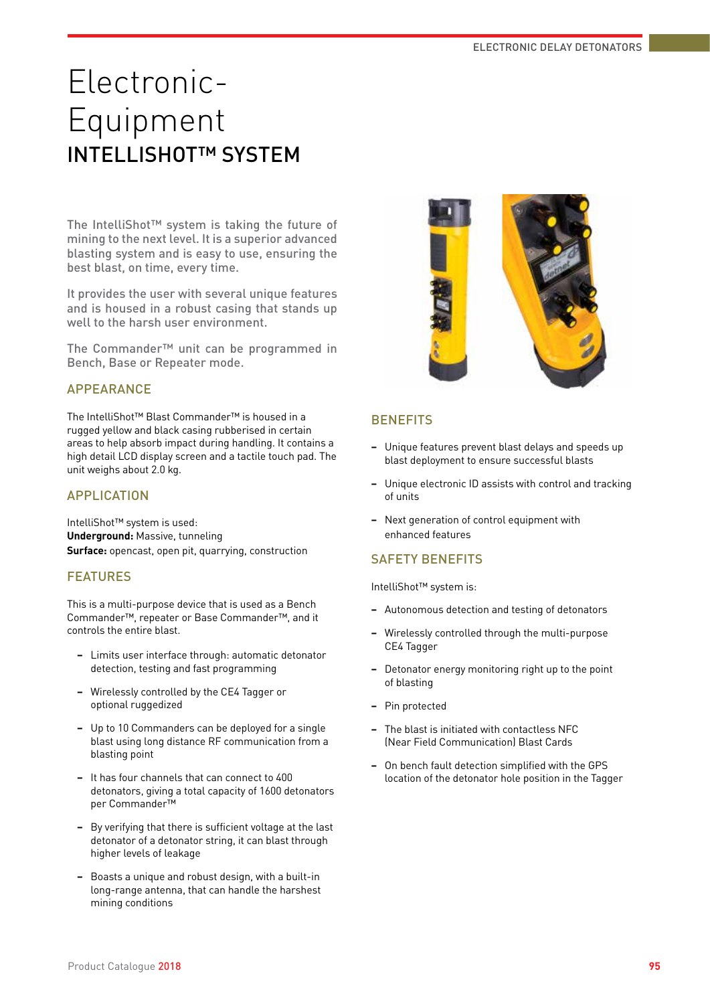## Electronic-Equipment INTELLISHOT™ SYSTEM

The IntelliShot™ system is taking the future of mining to the next level. It is a superior advanced blasting system and is easy to use, ensuring the best blast, on time, every time.

It provides the user with several unique features and is housed in a robust casing that stands up well to the harsh user environment.

The Commander™ unit can be programmed in Bench, Base or Repeater mode.

## APPEARANCE

The IntelliShot™ Blast Commander™ is housed in a rugged yellow and black casing rubberised in certain areas to help absorb impact during handling. It contains a high detail LCD display screen and a tactile touch pad. The unit weighs about 2.0 kg.

#### APPLICATION

IntelliShot™ system is used: **Underground:** Massive, tunneling **Surface:** opencast, open pit, quarrying, construction

#### **FEATURES**

This is a multi-purpose device that is used as a Bench Commander™, repeater or Base Commander™, and it controls the entire blast.

- **−** Limits user interface through: automatic detonator detection, testing and fast programming
- **−** Wirelessly controlled by the CE4 Tagger or optional ruggedized
- **−** Up to 10 Commanders can be deployed for a single blast using long distance RF communication from a blasting point
- **−** It has four channels that can connect to 400 detonators, giving a total capacity of 1600 detonators per Commander™
- **−** By verifying that there is sufficient voltage at the last detonator of a detonator string, it can blast through higher levels of leakage
- **−** Boasts a unique and robust design, with a built-in long-range antenna, that can handle the harshest mining conditions



## **BENEFITS**

- **−** Unique features prevent blast delays and speeds up blast deployment to ensure successful blasts
- **−** Unique electronic ID assists with control and tracking of units
- **−** Next generation of control equipment with enhanced features

#### SAFETY BENEFITS

IntelliShot™ system is:

- **−** Autonomous detection and testing of detonators
- **−** Wirelessly controlled through the multi-purpose CE4 Tagger
- **−** Detonator energy monitoring right up to the point of blasting
- **−** Pin protected
- **−** The blast is initiated with contactless NFC (Near Field Communication) Blast Cards
- **−** On bench fault detection simplified with the GPS location of the detonator hole position in the Tagger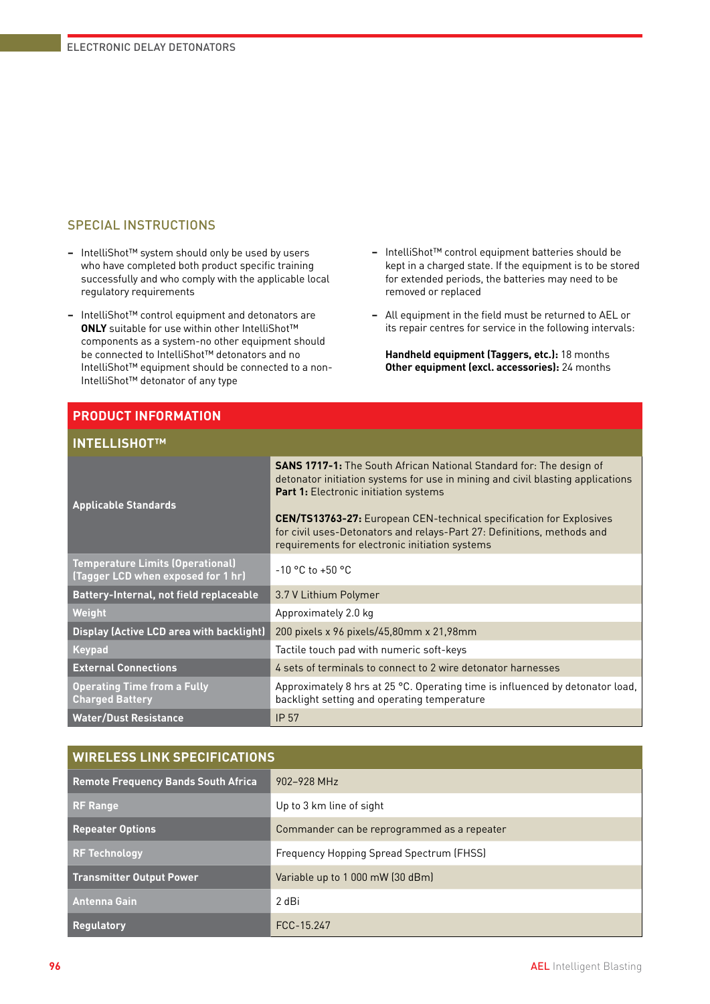## SPECIAL INSTRUCTIONS

- **−** IntelliShot™ system should only be used by users who have completed both product specific training successfully and who comply with the applicable local regulatory requirements
- **−** IntelliShot™ control equipment and detonators are **ONLY** suitable for use within other IntelliShot™ components as a system-no other equipment should be connected to IntelliShot™ detonators and no IntelliShot™ equipment should be connected to a non-IntelliShot™ detonator of any type
- **PRODUCT INFORMATION**

**Operating Time from a Fully** 

**Water/Dust Resistance IP 57** 

**Charged Battery**

#### **INTELLISHOT™**

**Applicable Standards SANS 1717-1:** The South African National Standard for: The design of detonator initiation systems for use in mining and civil blasting applications **Part 1:** Electronic initiation systems **CEN/TS13763-27:** European CEN-technical specification for Explosives for civil uses-Detonators and relays-Part 27: Definitions, methods and requirements for electronic initiation systems **Temperature Limits (Operational) (Tagger LCD when exposed for 1 hr)** -10 °C to +50 °C **Battery-Internal, not field replaceable** 3.7 V Lithium Polymer **Weight** Approximately 2.0 kg **Display (Active LCD area with backlight)** 200 pixels x 96 pixels/45,80mm x 21,98mm **Keypad** Tactile touch pad with numeric soft-keys **External Connections** 4 sets of terminals to connect to 2 wire detonator harnesses

| <b>WIRELESS LINK SPECIFICATIONS</b>        |                                             |  |
|--------------------------------------------|---------------------------------------------|--|
| <b>Remote Frequency Bands South Africa</b> | 902-928 MHz                                 |  |
| <b>RF Range</b>                            | Up to 3 km line of sight                    |  |
| <b>Repeater Options</b>                    | Commander can be reprogrammed as a repeater |  |
| <b>RF Technology</b>                       | Frequency Hopping Spread Spectrum (FHSS)    |  |
| <b>Transmitter Output Power</b>            | Variable up to 1 000 mW (30 dBm)            |  |
| <b>Antenna Gain</b>                        | 2 dBi                                       |  |
| <b>Regulatory</b>                          | FCC-15.247                                  |  |

backlight setting and operating temperature

Approximately 8 hrs at 25 °C. Operating time is influenced by detonator load,

**−** IntelliShot™ control equipment batteries should be kept in a charged state. If the equipment is to be stored for extended periods, the batteries may need to be

**−** All equipment in the field must be returned to AEL or its repair centres for service in the following intervals:

**Handheld equipment (Taggers, etc.):** 18 months **Other equipment (excl. accessories):** 24 months

removed or replaced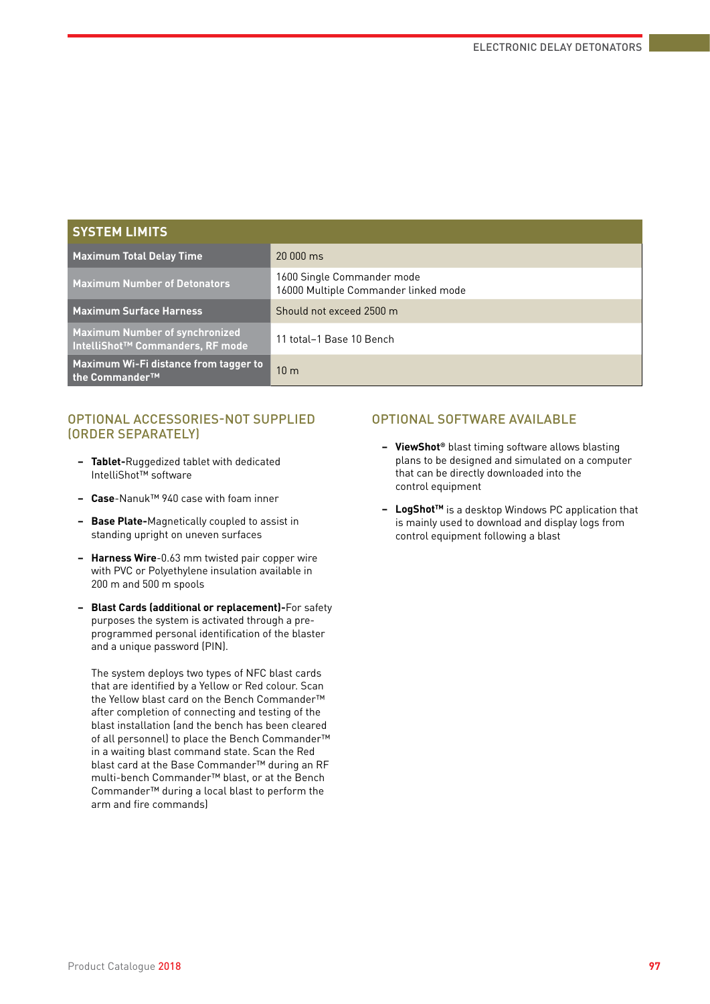| <b>SYSTEM LIMITS</b>                                                             |                                                                    |  |
|----------------------------------------------------------------------------------|--------------------------------------------------------------------|--|
| <b>Maximum Total Delay Time</b>                                                  | 20 000 ms                                                          |  |
| <b>Maximum Number of Detonators</b>                                              | 1600 Single Commander mode<br>16000 Multiple Commander linked mode |  |
| Maximum Surface Harness                                                          | Should not exceed 2500 m                                           |  |
| <b>Maximum Number of synchronized</b><br><b>IntelliShot™ Commanders, RF mode</b> | 11 total-1 Base 10 Bench                                           |  |
| Maximum Wi-Fi distance from tagger to<br><b>the Commander<sup>™</sup></b>        | 10 <sub>m</sub>                                                    |  |

#### OPTIONAL ACCESSORIES-NOT SUPPLIED (ORDER SEPARATELY)

- **− Tablet-**Ruggedized tablet with dedicated IntelliShot™ software
- **− Case**-Nanuk™ 940 case with foam inner
- **Base Plate-**Magnetically coupled to assist in standing upright on uneven surfaces
- **− Harness Wire**-0.63 mm twisted pair copper wire with PVC or Polyethylene insulation available in 200 m and 500 m spools
- **− Blast Cards (additional or replacement)-**For safety purposes the system is activated through a preprogrammed personal identification of the blaster and a unique password (PIN).

The system deploys two types of NFC blast cards that are identified by a Yellow or Red colour. Scan the Yellow blast card on the Bench Commander™ after completion of connecting and testing of the blast installation (and the bench has been cleared of all personnel) to place the Bench Commander™ in a waiting blast command state. Scan the Red blast card at the Base Commander™ during an RF multi-bench Commander™ blast, or at the Bench Commander™ during a local blast to perform the arm and fire commands)

## OPTIONAL SOFTWARE AVAILABLE

- **− ViewShot®** blast timing software allows blasting plans to be designed and simulated on a computer that can be directly downloaded into the control equipment
- **− LogShotTM** is a desktop Windows PC application that is mainly used to download and display logs from control equipment following a blast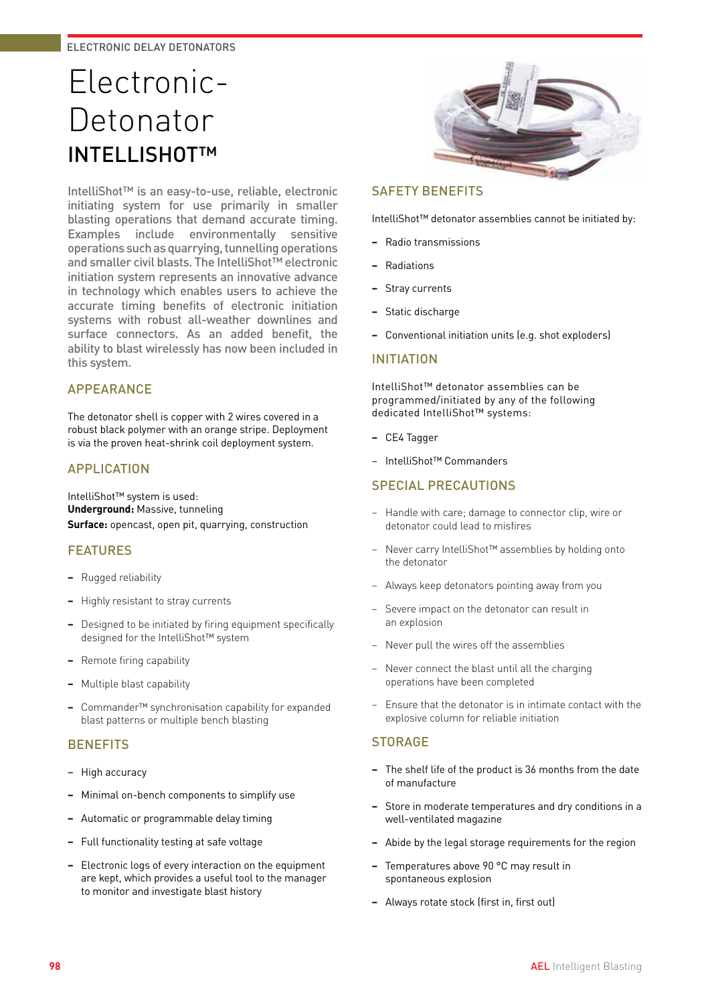## Electronic-Detonator INTELLISHOT™

IntelliShot™ is an easy-to-use, reliable, electronic initiating system for use primarily in smaller blasting operations that demand accurate timing. Examples include environmentally sensitive operations such as quarrying, tunnelling operations and smaller civil blasts. The IntelliShot™ electronic initiation system represents an innovative advance in technology which enables users to achieve the accurate timing benefits of electronic initiation systems with robust all-weather downlines and surface connectors. As an added benefit, the ability to blast wirelessly has now been included in this system.

## APPEARANCE

The detonator shell is copper with 2 wires covered in a robust black polymer with an orange stripe. Deployment is via the proven heat-shrink coil deployment system.

## APPLICATION

IntelliShot™ system is used: **Underground:** Massive, tunneling **Surface:** opencast, open pit, quarrying, construction

## FEATURES

- **−** Rugged reliability
- **−** Highly resistant to stray currents
- **−** Designed to be initiated by firing equipment specifically designed for the IntelliShot™ system
- **−** Remote firing capability
- **−** Multiple blast capability
- **−** Commander™ synchronisation capability for expanded blast patterns or multiple bench blasting

#### **BENEFITS**

- **−** High accuracy
- **−** Minimal on-bench components to simplify use
- **−** Automatic or programmable delay timing
- **−** Full functionality testing at safe voltage
- **−** Electronic logs of every interaction on the equipment are kept, which provides a useful tool to the manager to monitor and investigate blast history



## SAFETY BENEFITS

IntelliShot™ detonator assemblies cannot be initiated by:

- **−** Radio transmissions
- **−** Radiations
- **−** Stray currents
- **−** Static discharge
- **−** Conventional initiation units (e.g. shot exploders)

#### INITIATION

IntelliShot™ detonator assemblies can be programmed/initiated by any of the following dedicated IntelliShot™ systems:

- **−** CE4 Tagger
- − IntelliShot™ Commanders

#### SPECIAL PRECAUTIONS

- − Handle with care; damage to connector clip, wire or detonator could lead to misfires
- Never carry IntelliShot™ assemblies by holding onto the detonator
- − Always keep detonators pointing away from you
- Severe impact on the detonator can result in an explosion
- − Never pull the wires off the assemblies
- Never connect the blast until all the charging operations have been completed
- − Ensure that the detonator is in intimate contact with the explosive column for reliable initiation

#### **STORAGE**

- The shelf life of the product is 36 months from the date of manufacture
- **−** Store in moderate temperatures and dry conditions in a well-ventilated magazine
- **−** Abide by the legal storage requirements for the region
- **−** Temperatures above 90 °C may result in spontaneous explosion
- **−** Always rotate stock (first in, first out)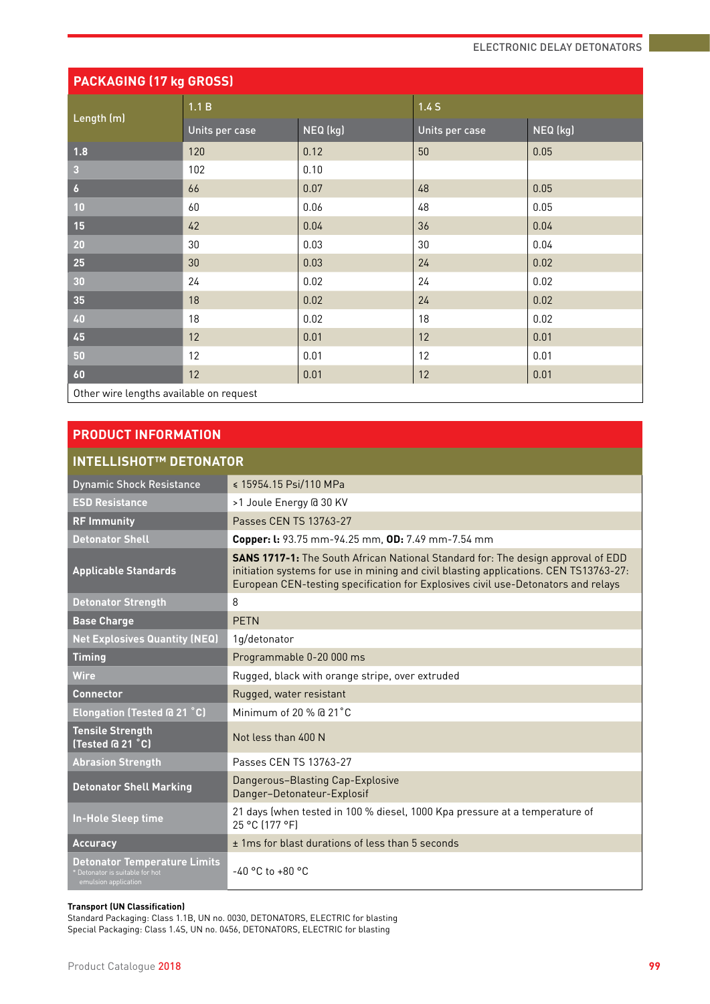| <b>PACKAGING (17 kg GROSS)</b>          |                |          |                |          |
|-----------------------------------------|----------------|----------|----------------|----------|
| Length (m)                              | 1.1 B          |          | 1.4S           |          |
|                                         | Units per case | NEQ (kg) | Units per case | NEQ (kg) |
| 1.8                                     | 120            | 0.12     | 50             | 0.05     |
| $\overline{\mathbf{3}}$                 | 102            | 0.10     |                |          |
| $\boldsymbol{6}$                        | 66             | 0.07     | 48             | 0.05     |
| 10                                      | 60             | 0.06     | 48             | 0.05     |
| 15                                      | $42$           | 0.04     | 36             | 0.04     |
| 20                                      | 30             | 0.03     | 30             | 0.04     |
| $25\phantom{.0}$                        | 30             | 0.03     | 24             | 0.02     |
| 30                                      | 24             | 0.02     | 24             | 0.02     |
| 35                                      | 18             | 0.02     | 24             | 0.02     |
| 40                                      | 18             | 0.02     | 18             | 0.02     |
| 45                                      | 12             | 0.01     | 12             | 0.01     |
| 50                                      | 12             | 0.01     | 12             | 0.01     |
| 60                                      | 12             | 0.01     | 12             | 0.01     |
| Other wire lengths available on request |                |          |                |          |

## **PRODUCT INFORMATION**

| <b>INTELLISHOT™ DETONATOR</b>                                                         |                                                                                                                                                                                                                                                                |
|---------------------------------------------------------------------------------------|----------------------------------------------------------------------------------------------------------------------------------------------------------------------------------------------------------------------------------------------------------------|
| <b>Dynamic Shock Resistance</b>                                                       | ≤ 15954.15 Psi/110 MPa                                                                                                                                                                                                                                         |
| <b>ESD Resistance</b>                                                                 | >1 Joule Energy @ 30 KV                                                                                                                                                                                                                                        |
| <b>RF Immunity</b>                                                                    | Passes CFN TS 13763-27                                                                                                                                                                                                                                         |
| <b>Detonator Shell</b>                                                                | Copper: L: 93.75 mm-94.25 mm, OD: 7.49 mm-7.54 mm                                                                                                                                                                                                              |
| <b>Applicable Standards</b>                                                           | SANS 1717-1: The South African National Standard for: The design approval of EDD<br>initiation systems for use in mining and civil blasting applications. CEN TS13763-27:<br>European CEN-testing specification for Explosives civil use-Detonators and relays |
| <b>Detonator Strength</b>                                                             | 8                                                                                                                                                                                                                                                              |
| <b>Base Charge</b>                                                                    | <b>PETN</b>                                                                                                                                                                                                                                                    |
| <b>Net Explosives Quantity (NEQ)</b>                                                  | 1g/detonator                                                                                                                                                                                                                                                   |
| <b>Timing</b>                                                                         | Programmable 0-20 000 ms                                                                                                                                                                                                                                       |
| <b>Wire</b>                                                                           | Rugged, black with orange stripe, over extruded                                                                                                                                                                                                                |
| <b>Connector</b>                                                                      | Rugged, water resistant                                                                                                                                                                                                                                        |
| Elongation (Tested @ 21 °C)                                                           | Minimum of 20 % $\alpha$ 21 °C                                                                                                                                                                                                                                 |
| <b>Tensile Strength</b><br>(Tested @ 21 °C)                                           | Not less than 400 N                                                                                                                                                                                                                                            |
| <b>Abrasion Strength</b>                                                              | Passes CEN TS 13763-27                                                                                                                                                                                                                                         |
| <b>Detonator Shell Marking</b>                                                        | Dangerous-Blasting Cap-Explosive<br>Danger-Detonateur-Explosif                                                                                                                                                                                                 |
| <b>In-Hole Sleep time</b>                                                             | 21 days (when tested in 100 % diesel, 1000 Kpa pressure at a temperature of<br>25 °C (177 °F)                                                                                                                                                                  |
| <b>Accuracy</b>                                                                       | ± 1ms for blast durations of less than 5 seconds                                                                                                                                                                                                               |
| Detonator Temperature Limits<br>Detonator is suitable for hot<br>emulsion application | $-40$ °C to +80 °C                                                                                                                                                                                                                                             |

#### **Transport (UN Classification)**

Standard Packaging: Class 1.1B, UN no. 0030, DETONATORS, ELECTRIC for blasting Special Packaging: Class 1.4S, UN no. 0456, DETONATORS, ELECTRIC for blasting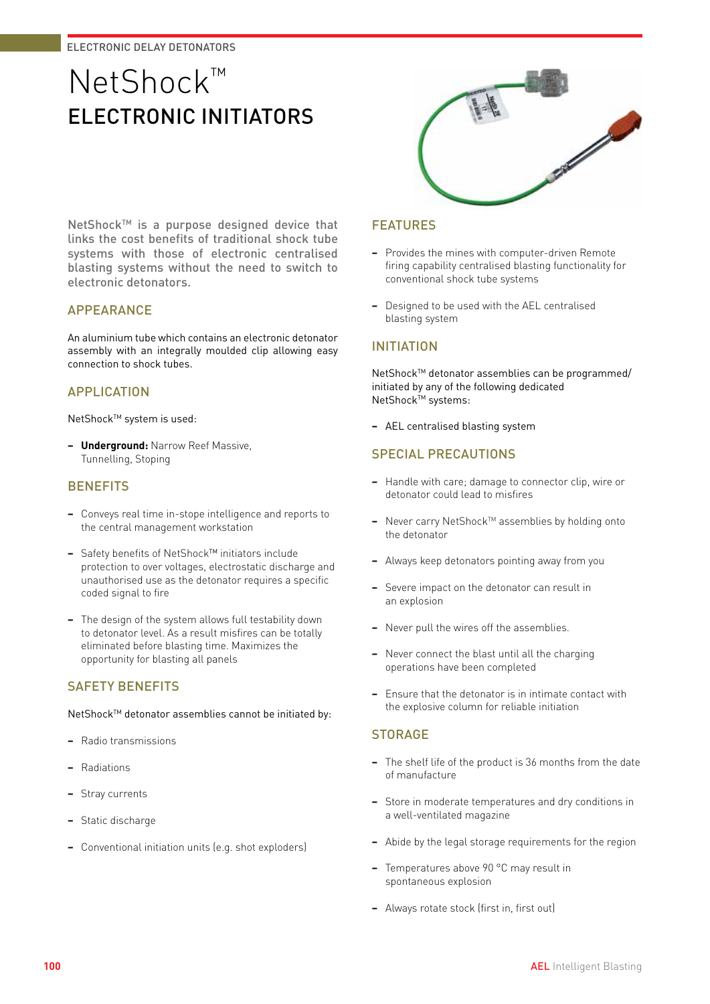## NetShock™ ELECTRONIC INITIATORS



NetShock™ is a purpose designed device that links the cost benefits of traditional shock tube systems with those of electronic centralised blasting systems without the need to switch to electronic detonators.

## **APPEARANCE**

An aluminium tube which contains an electronic detonator assembly with an integrally moulded clip allowing easy connection to shock tubes.

## APPLICATION

NetShock™ system is used:

**− Underground:** Narrow Reef Massive, Tunnelling, Stoping

## **BENEFITS**

- **−** Conveys real time in-stope intelligence and reports to the central management workstation
- **−** Safety benefits of NetShockTM initiators include protection to over voltages, electrostatic discharge and unauthorised use as the detonator requires a specific coded signal to fire
- **−** The design of the system allows full testability down to detonator level. As a result misfires can be totally eliminated before blasting time. Maximizes the opportunity for blasting all panels

## SAFETY BENEFITS

NetShock™ detonator assemblies cannot be initiated by:

- **−** Radio transmissions
- **−** Radiations
- **−** Stray currents
- **−** Static discharge
- **−** Conventional initiation units (e.g. shot exploders)

#### FEATURES

- **−** Provides the mines with computer-driven Remote firing capability centralised blasting functionality for conventional shock tube systems
- **−** Designed to be used with the AEL centralised blasting system

## INITIATION

NetShock™ detonator assemblies can be programmed/ initiated by any of the following dedicated NetShock™ systems:

**−** AEL centralised blasting system

## SPECIAL PRECAUTIONS

- **−** Handle with care; damage to connector clip, wire or detonator could lead to misfires
- **−** Never carry NetShockTM assemblies by holding onto the detonator
- **−** Always keep detonators pointing away from you
- **−** Severe impact on the detonator can result in an explosion
- **−** Never pull the wires off the assemblies.
- **−** Never connect the blast until all the charging operations have been completed
- **−** Ensure that the detonator is in intimate contact with the explosive column for reliable initiation

#### **STORAGE**

- **−** The shelf life of the product is 36 months from the date of manufacture
- **−** Store in moderate temperatures and dry conditions in a well-ventilated magazine
- **−** Abide by the legal storage requirements for the region
- **−** Temperatures above 90 °C may result in spontaneous explosion
- **−** Always rotate stock (first in, first out)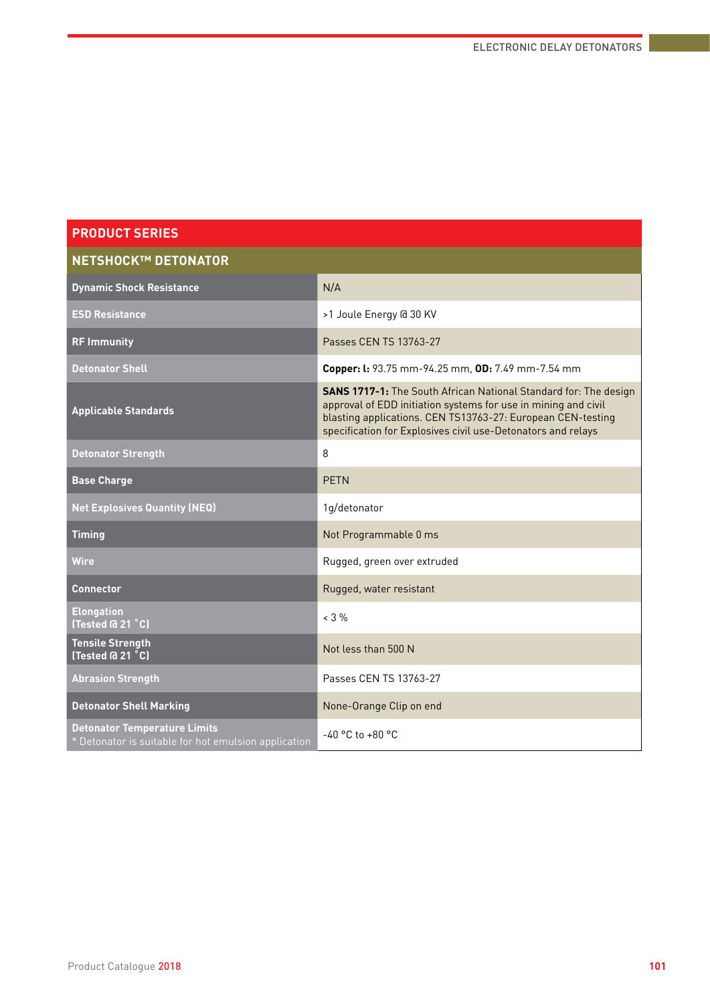## **PRODUCT SERIES**

| <b>NETSHOCK™ DETONATOR</b>                                                                  |                                                                                                                                                                                                                                                                          |
|---------------------------------------------------------------------------------------------|--------------------------------------------------------------------------------------------------------------------------------------------------------------------------------------------------------------------------------------------------------------------------|
| <b>Dynamic Shock Resistance</b>                                                             | N/A                                                                                                                                                                                                                                                                      |
| <b>ESD Resistance</b>                                                                       | >1 Joule Energy @ 30 KV                                                                                                                                                                                                                                                  |
| <b>RF Immunity</b>                                                                          | Passes CEN TS 13763-27                                                                                                                                                                                                                                                   |
| <b>Detonator Shell</b>                                                                      | Copper: 1: 93.75 mm-94.25 mm, OD: 7.49 mm-7.54 mm                                                                                                                                                                                                                        |
| <b>Applicable Standards</b>                                                                 | <b>SANS 1717-1:</b> The South African National Standard for: The design<br>approval of EDD initiation systems for use in mining and civil<br>blasting applications. CEN TS13763-27: European CEN-testing<br>specification for Explosives civil use-Detonators and relays |
| <b>Detonator Strength</b>                                                                   | 8                                                                                                                                                                                                                                                                        |
| <b>Base Charge</b>                                                                          | <b>PETN</b>                                                                                                                                                                                                                                                              |
| <b>Net Explosives Quantity (NEQ)</b>                                                        | 1g/detonator                                                                                                                                                                                                                                                             |
| <b>Timing</b>                                                                               | Not Programmable 0 ms                                                                                                                                                                                                                                                    |
| <b>Wire</b>                                                                                 | Rugged, green over extruded                                                                                                                                                                                                                                              |
| <b>Connector</b>                                                                            | Rugged, water resistant                                                                                                                                                                                                                                                  |
| <b>Elongation</b><br>(Tested @ 21 °C)                                                       | < 3 %                                                                                                                                                                                                                                                                    |
| <b>Tensile Strength</b><br>(Tested $@21°C$ )                                                | Not less than 500 N                                                                                                                                                                                                                                                      |
| <b>Abrasion Strength</b>                                                                    | Passes CEN TS 13763-27                                                                                                                                                                                                                                                   |
| <b>Detonator Shell Marking</b>                                                              | None-Orange Clip on end                                                                                                                                                                                                                                                  |
| <b>Detonator Temperature Limits</b><br>* Detonator is suitable for hot emulsion application | $-40$ °C to $+80$ °C                                                                                                                                                                                                                                                     |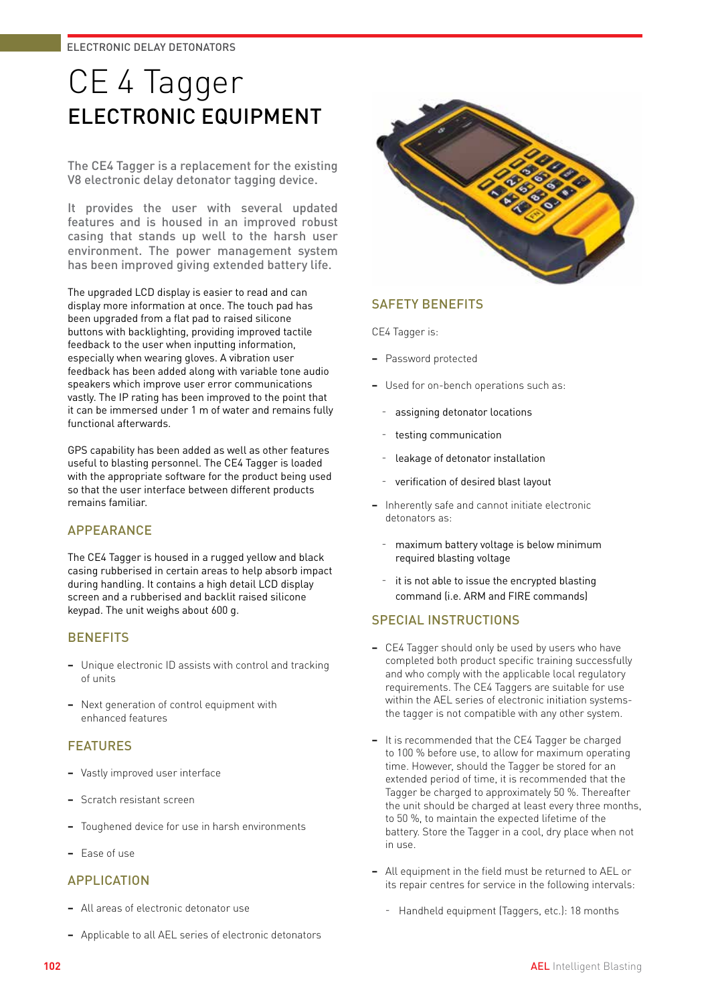## CE 4 Tagger ELECTRONIC EQUIPMENT

The CE4 Tagger is a replacement for the existing V8 electronic delay detonator tagging device.

It provides the user with several updated features and is housed in an improved robust casing that stands up well to the harsh user environment. The power management system has been improved giving extended battery life.

The upgraded LCD display is easier to read and can display more information at once. The touch pad has been upgraded from a flat pad to raised silicone buttons with backlighting, providing improved tactile feedback to the user when inputting information, especially when wearing gloves. A vibration user feedback has been added along with variable tone audio speakers which improve user error communications vastly. The IP rating has been improved to the point that it can be immersed under 1 m of water and remains fully functional afterwards.

GPS capability has been added as well as other features useful to blasting personnel. The CE4 Tagger is loaded with the appropriate software for the product being used so that the user interface between different products remains familiar.

## APPEARANCE

The CE4 Tagger is housed in a rugged yellow and black casing rubberised in certain areas to help absorb impact during handling. It contains a high detail LCD display screen and a rubberised and backlit raised silicone keypad. The unit weighs about 600 g.

#### **BENEFITS**

- **−** Unique electronic ID assists with control and tracking of units
- **−** Next generation of control equipment with enhanced features

## FEATURES

- **−** Vastly improved user interface
- **−** Scratch resistant screen
- **−** Toughened device for use in harsh environments
- **−** Ease of use

#### **APPLICATION**

- **−** All areas of electronic detonator use
- **−** Applicable to all AEL series of electronic detonators



## SAFETY BENEFITS

CE4 Tagger is:

- **−** Password protected
- **−** Used for on-bench operations such as:
	- assigning detonator locations
	- testing communication
	- leakage of detonator installation
	- verification of desired blast layout
- **−** Inherently safe and cannot initiate electronic detonators as:
	- maximum battery voltage is below minimum required blasting voltage
	- it is not able to issue the encrypted blasting command (i.e. ARM and FIRE commands)

## SPECIAL INSTRUCTIONS

- **−** CE4 Tagger should only be used by users who have completed both product specific training successfully and who comply with the applicable local regulatory requirements. The CE4 Taggers are suitable for use within the AEL series of electronic initiation systemsthe tagger is not compatible with any other system.
- **−** It is recommended that the CE4 Tagger be charged to 100 % before use, to allow for maximum operating time. However, should the Tagger be stored for an extended period of time, it is recommended that the Tagger be charged to approximately 50 %. Thereafter the unit should be charged at least every three months, to 50 %, to maintain the expected lifetime of the battery. Store the Tagger in a cool, dry place when not in use.
- **−** All equipment in the field must be returned to AEL or its repair centres for service in the following intervals:
	- Handheld equipment (Taggers, etc.): 18 months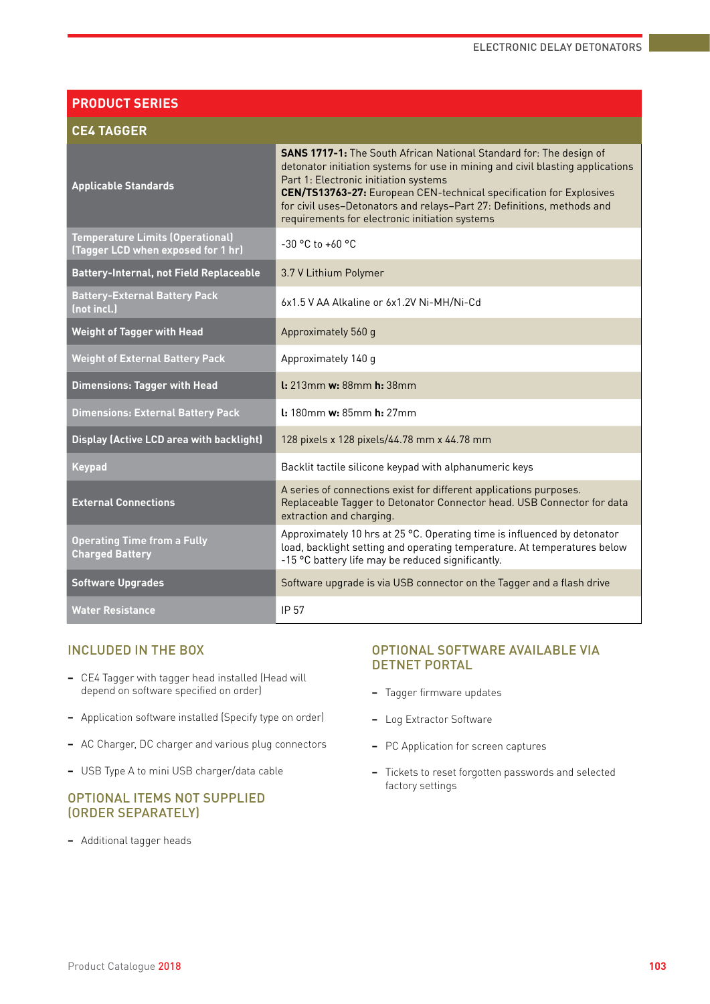| FRUDUCI JERIEJ                                                                |                                                                                                                                                                                                                                                                                                                                                                                                          |  |  |
|-------------------------------------------------------------------------------|----------------------------------------------------------------------------------------------------------------------------------------------------------------------------------------------------------------------------------------------------------------------------------------------------------------------------------------------------------------------------------------------------------|--|--|
| <b>CE4 TAGGER</b>                                                             |                                                                                                                                                                                                                                                                                                                                                                                                          |  |  |
| <b>Applicable Standards</b>                                                   | <b>SANS 1717-1:</b> The South African National Standard for: The design of<br>detonator initiation systems for use in mining and civil blasting applications<br>Part 1: Electronic initiation systems<br>CEN/TS13763-27: European CEN-technical specification for Explosives<br>for civil uses-Detonators and relays-Part 27: Definitions, methods and<br>requirements for electronic initiation systems |  |  |
| <b>Temperature Limits (Operational)</b><br>(Tagger LCD when exposed for 1 hr) | $-30$ °C to $+60$ °C                                                                                                                                                                                                                                                                                                                                                                                     |  |  |
| <b>Battery-Internal, not Field Replaceable</b>                                | 3.7 V Lithium Polymer                                                                                                                                                                                                                                                                                                                                                                                    |  |  |
| <b>Battery-External Battery Pack</b><br>(not incl.)                           | 6x1.5 V AA Alkaline or 6x1.2V Ni-MH/Ni-Cd                                                                                                                                                                                                                                                                                                                                                                |  |  |
| <b>Weight of Tagger with Head</b>                                             | Approximately 560 g                                                                                                                                                                                                                                                                                                                                                                                      |  |  |
| <b>Weight of External Battery Pack</b>                                        | Approximately 140 g                                                                                                                                                                                                                                                                                                                                                                                      |  |  |
| <b>Dimensions: Tagger with Head</b>                                           | <b>l:</b> 213mm <b>w:</b> 88mm <b>h:</b> 38mm                                                                                                                                                                                                                                                                                                                                                            |  |  |
| <b>Dimensions: External Battery Pack</b>                                      | <b>l</b> : 180mm <b>w</b> : 85mm <b>h</b> : 27mm                                                                                                                                                                                                                                                                                                                                                         |  |  |
| <b>Display (Active LCD area with backlight)</b>                               | 128 pixels x 128 pixels/44.78 mm x 44.78 mm                                                                                                                                                                                                                                                                                                                                                              |  |  |
| <b>Keypad</b>                                                                 | Backlit tactile silicone keypad with alphanumeric keys                                                                                                                                                                                                                                                                                                                                                   |  |  |
| <b>External Connections</b>                                                   | A series of connections exist for different applications purposes.<br>Replaceable Tagger to Detonator Connector head. USB Connector for data<br>extraction and charging.                                                                                                                                                                                                                                 |  |  |
| <b>Operating Time from a Fully</b><br><b>Charged Battery</b>                  | Approximately 10 hrs at 25 °C. Operating time is influenced by detonator<br>load, backlight setting and operating temperature. At temperatures below<br>-15 °C battery life may be reduced significantly.                                                                                                                                                                                                |  |  |
| <b>Software Upgrades</b>                                                      | Software upgrade is via USB connector on the Tagger and a flash drive                                                                                                                                                                                                                                                                                                                                    |  |  |
| <b>Water Resistance</b>                                                       | IP 57                                                                                                                                                                                                                                                                                                                                                                                                    |  |  |

## INCLUDED IN THE BOX

**PRODUCT SERIES**

- **−** CE4 Tagger with tagger head installed (Head will depend on software specified on order)
- **−** Application software installed (Specify type on order)
- **−** AC Charger, DC charger and various plug connectors
- **−** USB Type A to mini USB charger/data cable

## OPTIONAL ITEMS NOT SUPPLIED (ORDER SEPARATELY)

**−** Additional tagger heads

## OPTIONAL SOFTWARE AVAILABLE VIA DETNET PORTAL

- **−** Tagger firmware updates
- **−** Log Extractor Software
- **−** PC Application for screen captures
- **−** Tickets to reset forgotten passwords and selected factory settings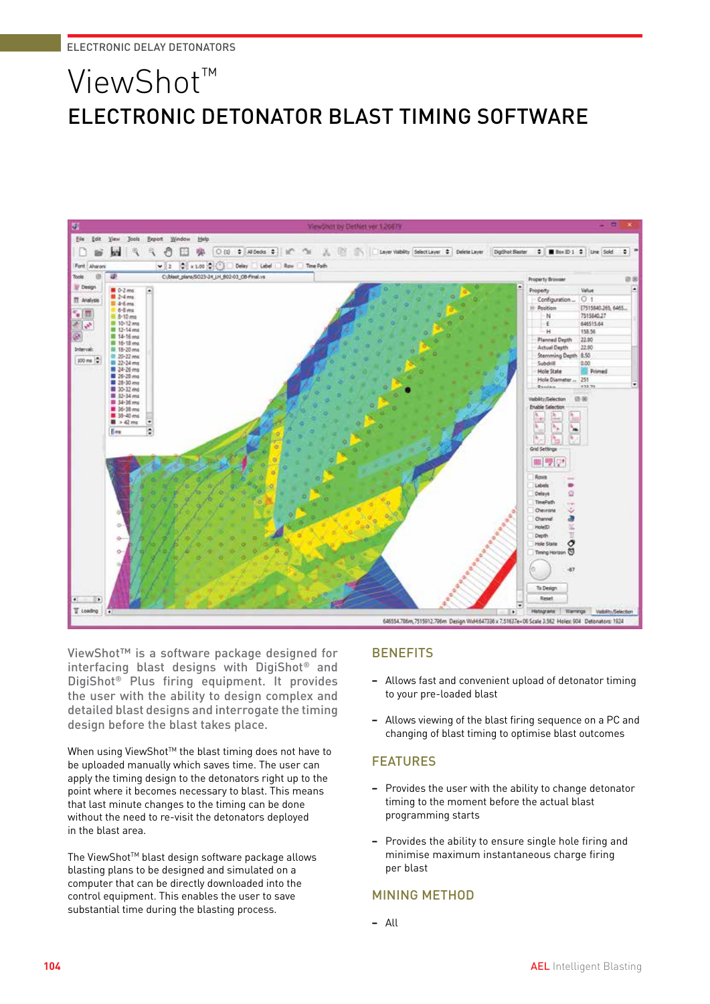## ViewShot™ ELECTRONIC DETONATOR BLAST TIMING SOFTWARE



ViewShot™ is a software package designed for interfacing blast designs with DigiShot® and DigiShot® Plus firing equipment. It provides the user with the ability to design complex and detailed blast designs and interrogate the timing design before the blast takes place.

When using ViewShot™ the blast timing does not have to be uploaded manually which saves time. The user can apply the timing design to the detonators right up to the point where it becomes necessary to blast. This means that last minute changes to the timing can be done without the need to re-visit the detonators deployed in the blast area.

The ViewShot™ blast design software package allows blasting plans to be designed and simulated on a computer that can be directly downloaded into the control equipment. This enables the user to save substantial time during the blasting process.

## **BENEFITS**

- **−** Allows fast and convenient upload of detonator timing to your pre-loaded blast
- **−** Allows viewing of the blast firing sequence on a PC and changing of blast timing to optimise blast outcomes

#### FEATURES

- **−** Provides the user with the ability to change detonator timing to the moment before the actual blast programming starts
- **−** Provides the ability to ensure single hole firing and minimise maximum instantaneous charge firing per blast

## MINING METHOD

**−** All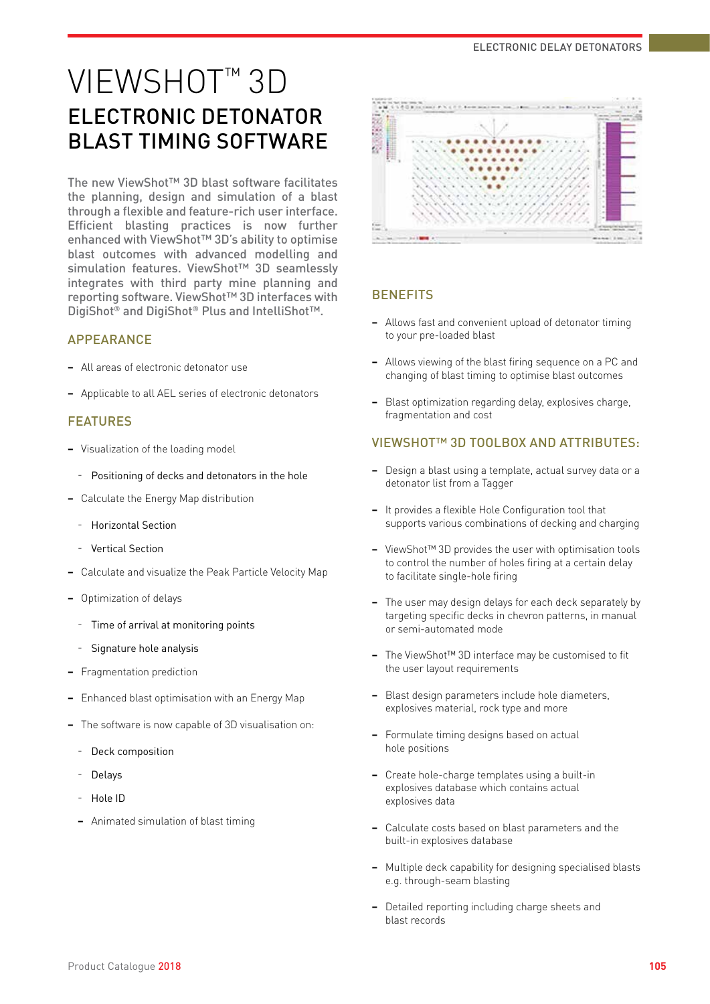## VIEWSHOT™ 3D ELECTRONIC DETONATOR BLAST TIMING SOFTWARE

The new ViewShot™ 3D blast software facilitates the planning, design and simulation of a blast through a flexible and feature-rich user interface. Efficient blasting practices is now further enhanced with ViewShot™ 3D's ability to optimise blast outcomes with advanced modelling and simulation features. ViewShot™ 3D seamlessly integrates with third party mine planning and reporting software. ViewShot™ 3D interfaces with DigiShot® and DigiShot® Plus and IntelliShot™.

#### APPEARANCE

- **−** All areas of electronic detonator use
- **−** Applicable to all AEL series of electronic detonators

## FEATURES

- **−** Visualization of the loading model
	- Positioning of decks and detonators in the hole
- **−** Calculate the Energy Map distribution
	- Horizontal Section
	- **Vertical Section**
- **−** Calculate and visualize the Peak Particle Velocity Map
- **−** Optimization of delays
	- Time of arrival at monitoring points
	- Signature hole analysis
- **−** Fragmentation prediction
- **−** Enhanced blast optimisation with an Energy Map
- **−** The software is now capable of 3D visualisation on:
	- Deck composition
	- **Delays**
	- Hole ID
	- **−** Animated simulation of blast timing



## **BENEFITS**

- **−** Allows fast and convenient upload of detonator timing to your pre-loaded blast
- **−** Allows viewing of the blast firing sequence on a PC and changing of blast timing to optimise blast outcomes
- **−** Blast optimization regarding delay, explosives charge, fragmentation and cost

#### VIEWSHOT™ 3D TOOLBOX AND ATTRIBUTES:

- **−** Design a blast using a template, actual survey data or a detonator list from a Tagger
- **−** It provides a flexible Hole Configuration tool that supports various combinations of decking and charging
- **−** ViewShot™ 3D provides the user with optimisation tools to control the number of holes firing at a certain delay to facilitate single-hole firing
- **−** The user may design delays for each deck separately by targeting specific decks in chevron patterns, in manual or semi-automated mode
- **−** The ViewShot™ 3D interface may be customised to fit the user layout requirements
- **−** Blast design parameters include hole diameters, explosives material, rock type and more
- **−** Formulate timing designs based on actual hole positions
- **−** Create hole-charge templates using a built-in explosives database which contains actual explosives data
- **−** Calculate costs based on blast parameters and the built-in explosives database
- **−** Multiple deck capability for designing specialised blasts e.g. through-seam blasting
- **−** Detailed reporting including charge sheets and blast records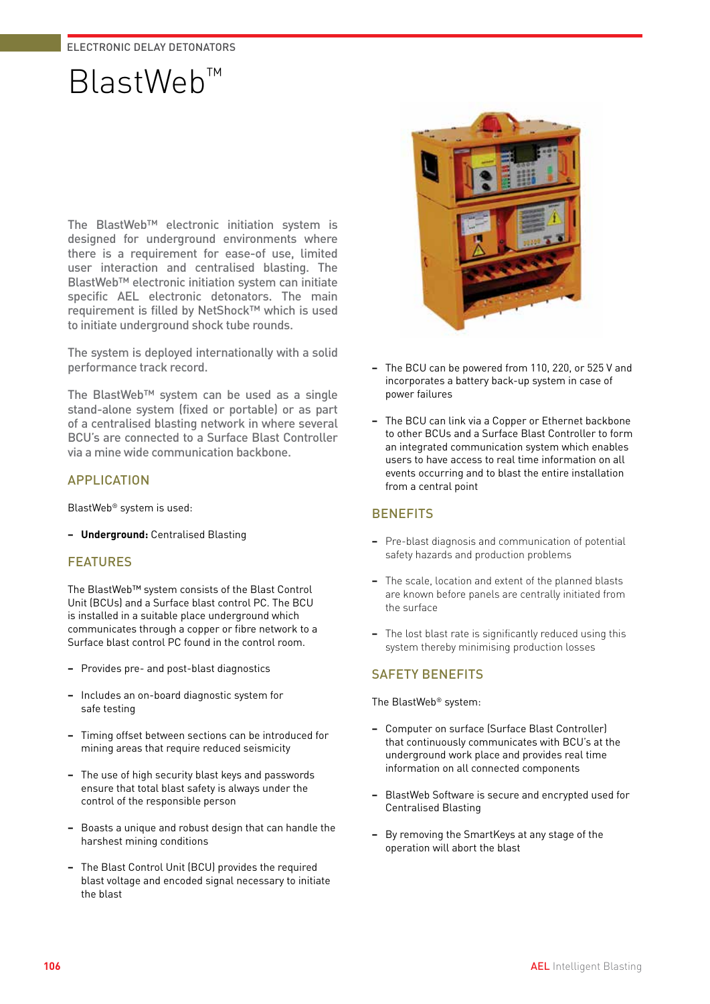# BlastWeb™

The BlastWeb™ electronic initiation system is designed for underground environments where there is a requirement for ease-of use, limited user interaction and centralised blasting. The BlastWeb™ electronic initiation system can initiate specific AEL electronic detonators. The main requirement is filled by NetShock™ which is used to initiate underground shock tube rounds.

The system is deployed internationally with a solid performance track record.

The BlastWeb™ system can be used as a single stand-alone system (fixed or portable) or as part of a centralised blasting network in where several BCU's are connected to a Surface Blast Controller via a mine wide communication backbone.

## **APPLICATION**

BlastWeb® system is used:

**− Underground:** Centralised Blasting

## FEATURES

The BlastWeb™ system consists of the Blast Control Unit (BCUs) and a Surface blast control PC. The BCU is installed in a suitable place underground which communicates through a copper or fibre network to a Surface blast control PC found in the control room.

- **−** Provides pre- and post-blast diagnostics
- **−** Includes an on-board diagnostic system for safe testing
- **−** Timing offset between sections can be introduced for mining areas that require reduced seismicity
- **−** The use of high security blast keys and passwords ensure that total blast safety is always under the control of the responsible person
- **−** Boasts a unique and robust design that can handle the harshest mining conditions
- **−** The Blast Control Unit (BCU) provides the required blast voltage and encoded signal necessary to initiate the blast



- **−** The BCU can be powered from 110, 220, or 525 V and incorporates a battery back-up system in case of power failures
- **−** The BCU can link via a Copper or Ethernet backbone to other BCUs and a Surface Blast Controller to form an integrated communication system which enables users to have access to real time information on all events occurring and to blast the entire installation from a central point

#### **BENEFITS**

- **−** Pre-blast diagnosis and communication of potential safety hazards and production problems
- **−** The scale, location and extent of the planned blasts are known before panels are centrally initiated from the surface
- **−** The lost blast rate is significantly reduced using this system thereby minimising production losses

## SAFETY BENEFITS

The BlastWeb® system:

- **−** Computer on surface (Surface Blast Controller) that continuously communicates with BCU's at the underground work place and provides real time information on all connected components
- **−** BlastWeb Software is secure and encrypted used for Centralised Blasting
- By removing the SmartKeys at any stage of the operation will abort the blast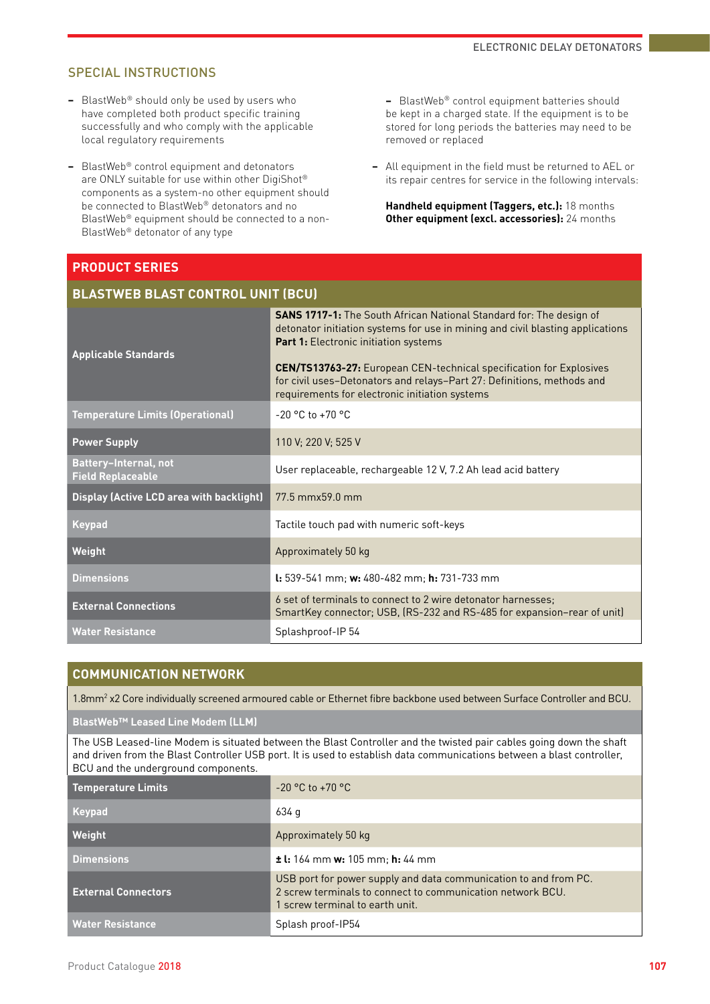## SPECIAL INSTRUCTIONS

- **−** BlastWeb® should only be used by users who have completed both product specific training successfully and who comply with the applicable local regulatory requirements
- **−** BlastWeb® control equipment and detonators are ONLY suitable for use within other DigiShot® components as a system-no other equipment should be connected to BlastWeb® detonators and no BlastWeb® equipment should be connected to a non-BlastWeb® detonator of any type

**PRODUCT SERIES**

**−** BlastWeb® control equipment batteries should be kept in a charged state. If the equipment is to be stored for long periods the batteries may need to be removed or replaced

**−** All equipment in the field must be returned to AEL or its repair centres for service in the following intervals:

**Handheld equipment (Taggers, etc.):** 18 months **Other equipment (excl. accessories):** 24 months

| <b>BLASTWEB BLAST CONTROL UNIT (BCU)</b>          |                                                                                                                                                                                                                                                                                                                                                                                                          |  |
|---------------------------------------------------|----------------------------------------------------------------------------------------------------------------------------------------------------------------------------------------------------------------------------------------------------------------------------------------------------------------------------------------------------------------------------------------------------------|--|
| <b>Applicable Standards</b>                       | <b>SANS 1717-1:</b> The South African National Standard for: The design of<br>detonator initiation systems for use in mining and civil blasting applications<br>Part 1: Electronic initiation systems<br>CEN/TS13763-27: European CEN-technical specification for Explosives<br>for civil uses-Detonators and relays-Part 27: Definitions, methods and<br>requirements for electronic initiation systems |  |
| <b>Temperature Limits (Operational)</b>           | $-20$ °C to $+70$ °C                                                                                                                                                                                                                                                                                                                                                                                     |  |
| <b>Power Supply</b>                               | 110 V; 220 V; 525 V                                                                                                                                                                                                                                                                                                                                                                                      |  |
| Battery-Internal, not<br><b>Field Replaceable</b> | User replaceable, rechargeable 12 V, 7.2 Ah lead acid battery                                                                                                                                                                                                                                                                                                                                            |  |
| <b>Display (Active LCD area with backlight)</b>   | 77.5 mmx59.0 mm                                                                                                                                                                                                                                                                                                                                                                                          |  |
| <b>Keypad</b>                                     | Tactile touch pad with numeric soft-keys                                                                                                                                                                                                                                                                                                                                                                 |  |
| Weight                                            | Approximately 50 kg                                                                                                                                                                                                                                                                                                                                                                                      |  |
| <b>Dimensions</b>                                 | <b>l:</b> 539-541 mm; <b>w:</b> 480-482 mm; <b>h:</b> 731-733 mm                                                                                                                                                                                                                                                                                                                                         |  |
| <b>External Connections</b>                       | 6 set of terminals to connect to 2 wire detonator harnesses;<br>SmartKey connector; USB, (RS-232 and RS-485 for expansion-rear of unit)                                                                                                                                                                                                                                                                  |  |
| <b>Water Resistance</b>                           | Splashproof-IP 54                                                                                                                                                                                                                                                                                                                                                                                        |  |

## **COMMUNICATION NETWORK**

1.8mm<sup>2</sup> x2 Core individually screened armoured cable or Ethernet fibre backbone used between Surface Controller and BCU.

**BlastWeb™ Leased Line Modem (LLM)**

The USB Leased-line Modem is situated between the Blast Controller and the twisted pair cables going down the shaft and driven from the Blast Controller USB port. It is used to establish data communications between a blast controller, BCU and the underground components.

| <b>Temperature Limits</b>  | $-20$ °C to $+70$ °C                                                                                                                                              |
|----------------------------|-------------------------------------------------------------------------------------------------------------------------------------------------------------------|
| Keypad                     | 634 g                                                                                                                                                             |
| Weight                     | Approximately 50 kg                                                                                                                                               |
| <b>Dimensions</b>          | <b>± l:</b> 164 mm <b>w:</b> 105 mm; <b>h:</b> 44 mm                                                                                                              |
| <b>External Connectors</b> | USB port for power supply and data communication to and from PC.<br>2 screw terminals to connect to communication network BCU.<br>1 screw terminal to earth unit. |
| <b>Water Resistance</b>    | Splash proof-IP54                                                                                                                                                 |